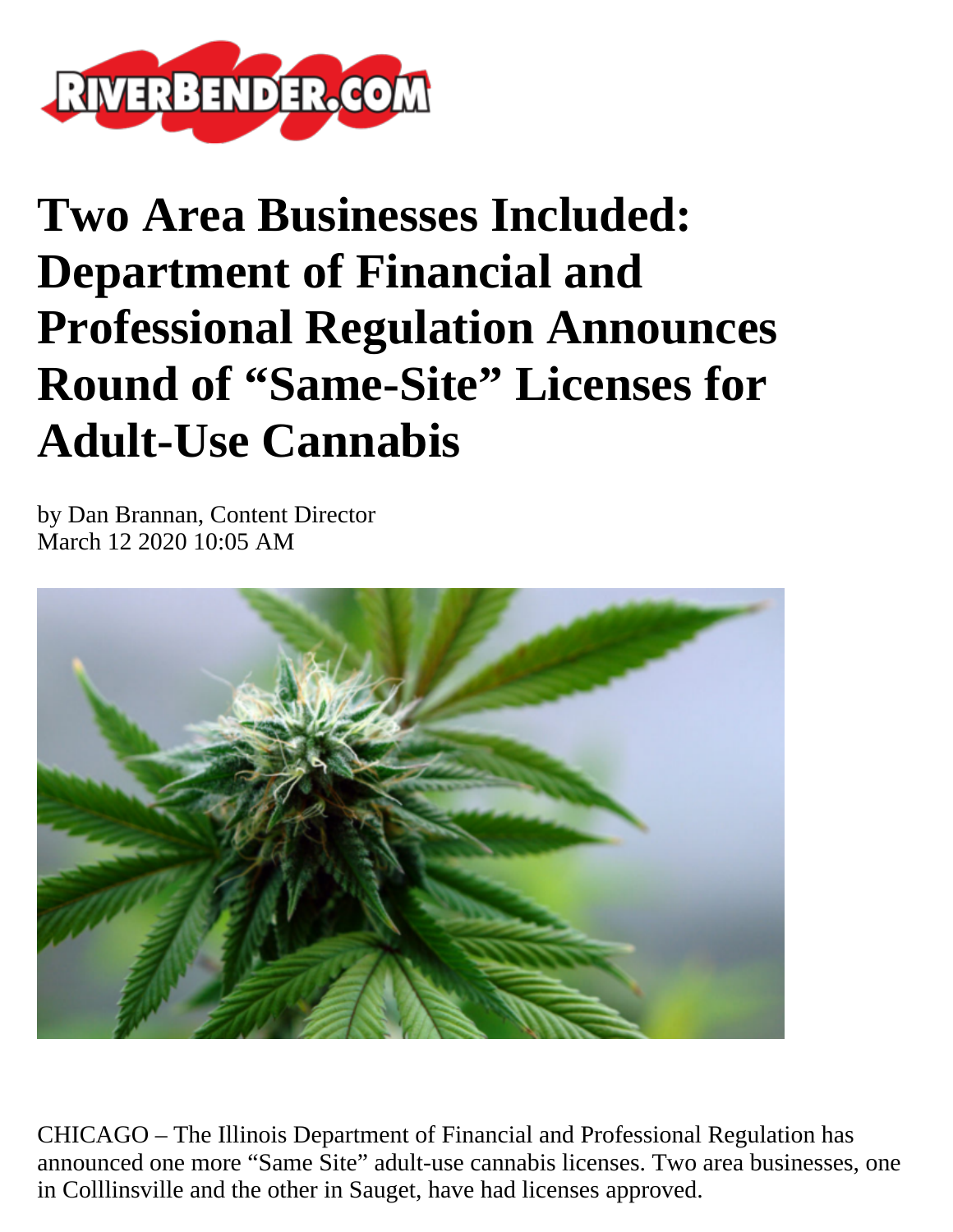

## **Two Area Businesses Included: Department of Financial and Professional Regulation Announces Round of "Same-Site" Licenses for Adult-Use Cannabis**

by Dan Brannan, Content Director March 12 2020 10:05 AM



CHICAGO – The Illinois Department of Financial and Professional Regulation has announced one more "Same Site" adult-use cannabis licenses. Two area businesses, one in Colllinsville and the other in Sauget, have had licenses approved.